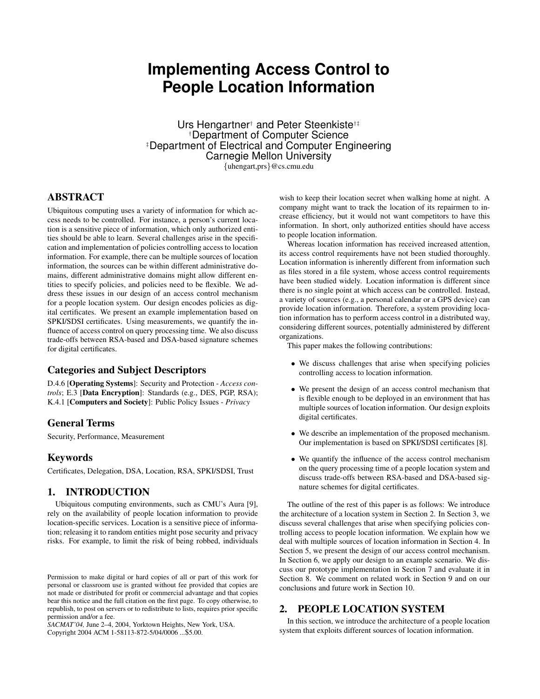# **Implementing Access Control to People Location Information**

Urs Hengartner† and Peter Steenkiste<sup>†‡</sup> †Department of Computer Science ‡Department of Electrical and Computer Engineering Carnegie Mellon University

{uhengart,prs}@cs.cmu.edu

# **ABSTRACT**

Ubiquitous computing uses a variety of information for which access needs to be controlled. For instance, a person's current location is a sensitive piece of information, which only authorized entities should be able to learn. Several challenges arise in the specification and implementation of policies controlling access to location information. For example, there can be multiple sources of location information, the sources can be within different administrative domains, different administrative domains might allow different entities to specify policies, and policies need to be flexible. We address these issues in our design of an access control mechanism for a people location system. Our design encodes policies as digital certificates. We present an example implementation based on SPKI/SDSI certificates. Using measurements, we quantify the influence of access control on query processing time. We also discuss trade-offs between RSA-based and DSA-based signature schemes for digital certificates.

## **Categories and Subject Descriptors**

D.4.6 [**Operating Systems**]: Security and Protection - *Access controls*; E.3 [**Data Encryption**]: Standards (e.g., DES, PGP, RSA); K.4.1 [**Computers and Society**]: Public Policy Issues - *Privacy*

## **General Terms**

Security, Performance, Measurement

#### **Keywords**

Certificates, Delegation, DSA, Location, RSA, SPKI/SDSI, Trust

# **1. INTRODUCTION**

Ubiquitous computing environments, such as CMU's Aura [9], rely on the availability of people location information to provide location-specific services. Location is a sensitive piece of information; releasing it to random entities might pose security and privacy risks. For example, to limit the risk of being robbed, individuals

*SACMAT'04,* June 2–4, 2004, Yorktown Heights, New York, USA. Copyright 2004 ACM 1-58113-872-5/04/0006 ...\$5.00.

wish to keep their location secret when walking home at night. A company might want to track the location of its repairmen to increase efficiency, but it would not want competitors to have this information. In short, only authorized entities should have access to people location information.

Whereas location information has received increased attention, its access control requirements have not been studied thoroughly. Location information is inherently different from information such as files stored in a file system, whose access control requirements have been studied widely. Location information is different since there is no single point at which access can be controlled. Instead, a variety of sources (e.g., a personal calendar or a GPS device) can provide location information. Therefore, a system providing location information has to perform access control in a distributed way, considering different sources, potentially administered by different organizations.

This paper makes the following contributions:

- We discuss challenges that arise when specifying policies controlling access to location information.
- We present the design of an access control mechanism that is flexible enough to be deployed in an environment that has multiple sources of location information. Our design exploits digital certificates.
- We describe an implementation of the proposed mechanism. Our implementation is based on SPKI/SDSI certificates [8].
- We quantify the influence of the access control mechanism on the query processing time of a people location system and discuss trade-offs between RSA-based and DSA-based signature schemes for digital certificates.

The outline of the rest of this paper is as follows: We introduce the architecture of a location system in Section 2. In Section 3, we discuss several challenges that arise when specifying policies controlling access to people location information. We explain how we deal with multiple sources of location information in Section 4. In Section 5, we present the design of our access control mechanism. In Section 6, we apply our design to an example scenario. We discuss our prototype implementation in Section 7 and evaluate it in Section 8. We comment on related work in Section 9 and on our conclusions and future work in Section 10.

# **2. PEOPLE LOCATION SYSTEM**

In this section, we introduce the architecture of a people location system that exploits different sources of location information.

Permission to make digital or hard copies of all or part of this work for personal or classroom use is granted without fee provided that copies are not made or distributed for profit or commercial advantage and that copies bear this notice and the full citation on the first page. To copy otherwise, to republish, to post on servers or to redistribute to lists, requires prior specific permission and/or a fee.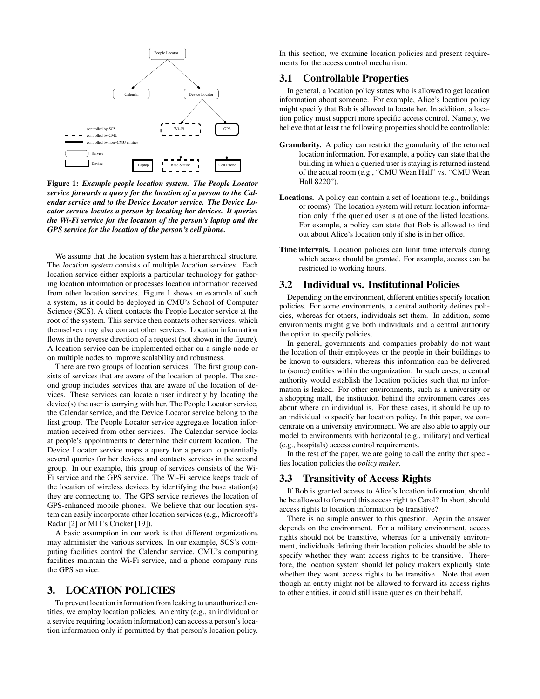

**Figure 1:** *Example people location system. The People Locator service forwards a query for the location of a person to the Calendar service and to the Device Locator service. The Device Locator service locates a person by locating her devices. It queries the Wi-Fi service for the location of the person's laptop and the GPS service for the location of the person's cell phone.*

We assume that the location system has a hierarchical structure. The location system consists of multiple location services. Each location service either exploits a particular technology for gathering location information or processes location information received from other location services. Figure 1 shows an example of such a system, as it could be deployed in CMU's School of Computer Science (SCS). A client contacts the People Locator service at the root of the system. This service then contacts other services, which themselves may also contact other services. Location information flows in the reverse direction of a request (not shown in the figure). A location service can be implemented either on a single node or on multiple nodes to improve scalability and robustness.

There are two groups of location services. The first group consists of services that are aware of the location of people. The second group includes services that are aware of the location of devices. These services can locate a user indirectly by locating the device(s) the user is carrying with her. The People Locator service, the Calendar service, and the Device Locator service belong to the first group. The People Locator service aggregates location information received from other services. The Calendar service looks at people's appointments to determine their current location. The Device Locator service maps a query for a person to potentially several queries for her devices and contacts services in the second group. In our example, this group of services consists of the Wi-Fi service and the GPS service. The Wi-Fi service keeps track of the location of wireless devices by identifying the base station(s) they are connecting to. The GPS service retrieves the location of GPS-enhanced mobile phones. We believe that our location system can easily incorporate other location services (e.g., Microsoft's Radar [2] or MIT's Cricket [19]).

A basic assumption in our work is that different organizations may administer the various services. In our example, SCS's computing facilities control the Calendar service, CMU's computing facilities maintain the Wi-Fi service, and a phone company runs the GPS service.

#### **3. LOCATION POLICIES**

To prevent location information from leaking to unauthorized entities, we employ location policies. An entity (e.g., an individual or a service requiring location information) can access a person's location information only if permitted by that person's location policy. In this section, we examine location policies and present requirements for the access control mechanism.

## **3.1 Controllable Properties**

In general, a location policy states who is allowed to get location information about someone. For example, Alice's location policy might specify that Bob is allowed to locate her. In addition, a location policy must support more specific access control. Namely, we believe that at least the following properties should be controllable:

- **Granularity.** A policy can restrict the granularity of the returned location information. For example, a policy can state that the building in which a queried user is staying is returned instead of the actual room (e.g., "CMU Wean Hall" vs. "CMU Wean Hall 8220").
- **Locations.** A policy can contain a set of locations (e.g., buildings or rooms). The location system will return location information only if the queried user is at one of the listed locations. For example, a policy can state that Bob is allowed to find out about Alice's location only if she is in her office.
- **Time intervals.** Location policies can limit time intervals during which access should be granted. For example, access can be restricted to working hours.

#### **3.2 Individual vs. Institutional Policies**

Depending on the environment, different entities specify location policies. For some environments, a central authority defines policies, whereas for others, individuals set them. In addition, some environments might give both individuals and a central authority the option to specify policies.

In general, governments and companies probably do not want the location of their employees or the people in their buildings to be known to outsiders, whereas this information can be delivered to (some) entities within the organization. In such cases, a central authority would establish the location policies such that no information is leaked. For other environments, such as a university or a shopping mall, the institution behind the environment cares less about where an individual is. For these cases, it should be up to an individual to specify her location policy. In this paper, we concentrate on a university environment. We are also able to apply our model to environments with horizontal (e.g., military) and vertical (e.g., hospitals) access control requirements.

In the rest of the paper, we are going to call the entity that specifies location policies the *policy maker*.

## **3.3 Transitivity of Access Rights**

If Bob is granted access to Alice's location information, should he be allowed to forward this access right to Carol? In short, should access rights to location information be transitive?

There is no simple answer to this question. Again the answer depends on the environment. For a military environment, access rights should not be transitive, whereas for a university environment, individuals defining their location policies should be able to specify whether they want access rights to be transitive. Therefore, the location system should let policy makers explicitly state whether they want access rights to be transitive. Note that even though an entity might not be allowed to forward its access rights to other entities, it could still issue queries on their behalf.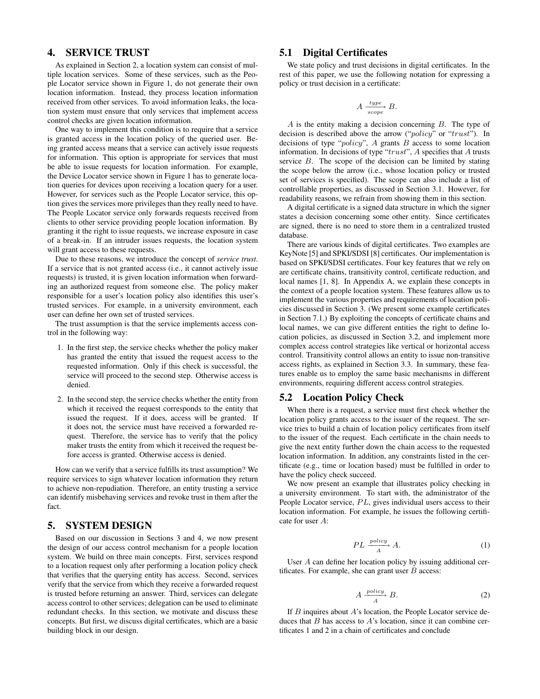## **4. SERVICE TRUST**

As explained in Section 2, a location system can consist of multiple location services. Some of these services, such as the People Locator service shown in Figure 1, do not generate their own location information. Instead, they process location information received from other services. To avoid information leaks, the location system must ensure that only services that implement access control checks are given location information.

One way to implement this condition is to require that a service is granted access in the location policy of the queried user. Being granted access means that a service can actively issue requests for information. This option is appropriate for services that must be able to issue requests for location information. For example, the Device Locator service shown in Figure 1 has to generate location queries for devices upon receiving a location query for a user. However, for services such as the People Locator service, this option gives the services more privileges than they really need to have. The People Locator service only forwards requests received from clients to other service providing people location information. By granting it the right to issue requests, we increase exposure in case of a break-in. If an intruder issues requests, the location system will grant access to these requests.

Due to these reasons, we introduce the concept of *service trust*. If a service that is not granted access (i.e., it cannot actively issue requests) is trusted, it is given location information when forwarding an authorized request from someone else. The policy maker responsible for a user's location policy also identifies this user's trusted services. For example, in a university environment, each user can define her own set of trusted services.

The trust assumption is that the service implements access control in the following way:

- 1. In the first step, the service checks whether the policy maker has granted the entity that issued the request access to the requested information. Only if this check is successful, the service will proceed to the second step. Otherwise access is denied.
- 2. In the second step, the service checks whether the entity from which it received the request corresponds to the entity that issued the request. If it does, access will be granted. If it does not, the service must have received a forwarded request. Therefore, the service has to verify that the policy maker trusts the entity from which it received the request before access is granted. Otherwise access is denied.

How can we verify that a service fulfills its trust assumption? We require services to sign whatever location information they return to achieve non-repudiation. Therefore, an entity trusting a service can identify misbehaving services and revoke trust in them after the fact.

## **5. SYSTEM DESIGN**

Based on our discussion in Sections 3 and 4, we now present the design of our access control mechanism for a people location system. We build on three main concepts. First, services respond to a location request only after performing a location policy check that verifies that the querying entity has access. Second, services verify that the service from which they receive a forwarded request is trusted before returning an answer. Third, services can delegate access control to other services; delegation can be used to eliminate redundant checks. In this section, we motivate and discuss these concepts. But first, we discuss digital certificates, which are a basic building block in our design.

# **5.1 Digital Certificates**

We state policy and trust decisions in digital certificates. In the rest of this paper, we use the following notation for expressing a policy or trust decision in a certificate:

$$
A \xrightarrow{type} B.
$$

A is the entity making a decision concerning B. The type of decision is described above the arrow ("policy" or "trust"). In decisions of type " $policy$ ",  $A$  grants  $B$  access to some location information. In decisions of type "trust", A specifies that A trusts service  $B$ . The scope of the decision can be limited by stating the scope below the arrow (i.e., whose location policy or trusted set of services is specified). The scope can also include a list of controllable properties, as discussed in Section 3.1. However, for readability reasons, we refrain from showing them in this section.

A digital certificate is a signed data structure in which the signer states a decision concerning some other entity. Since certificates are signed, there is no need to store them in a centralized trusted database.

There are various kinds of digital certificates. Two examples are KeyNote [5] and SPKI/SDSI [8] certificates. Our implementation is based on SPKI/SDSI certificates. Four key features that we rely on are certificate chains, transitivity control, certificate reduction, and local names [1, 8]. In Appendix A, we explain these concepts in the context of a people location system. These features allow us to implement the various properties and requirements of location policies discussed in Section 3. (We present some example certificates in Section 7.1.) By exploiting the concepts of certificate chains and local names, we can give different entities the right to define location policies, as discussed in Section 3.2, and implement more complex access control strategies like vertical or horizontal access control. Transitivity control allows an entity to issue non-transitive access rights, as explained in Section 3.3. In summary, these features enable us to employ the same basic mechanisms in different environments, requiring different access control strategies.

### **5.2 Location Policy Check**

When there is a request, a service must first check whether the location policy grants access to the issuer of the request. The service tries to build a chain of location policy certificates from itself to the issuer of the request. Each certificate in the chain needs to give the next entity further down the chain access to the requested location information. In addition, any constraints listed in the certificate (e.g., time or location based) must be fulfilled in order to have the policy check succeed.

We now present an example that illustrates policy checking in a university environment. To start with, the administrator of the People Locator service, PL, gives individual users access to their location information. For example, he issues the following certificate for user A:

$$
PL \xrightarrow{policy} A. \tag{1}
$$

User A can define her location policy by issuing additional certificates. For example, she can grant user  $B$  access:

$$
A \xrightarrow[A]{policy} B. \tag{2}
$$

If  $B$  inquires about  $A$ 's location, the People Locator service deduces that  $B$  has access to  $A$ 's location, since it can combine certificates 1 and 2 in a chain of certificates and conclude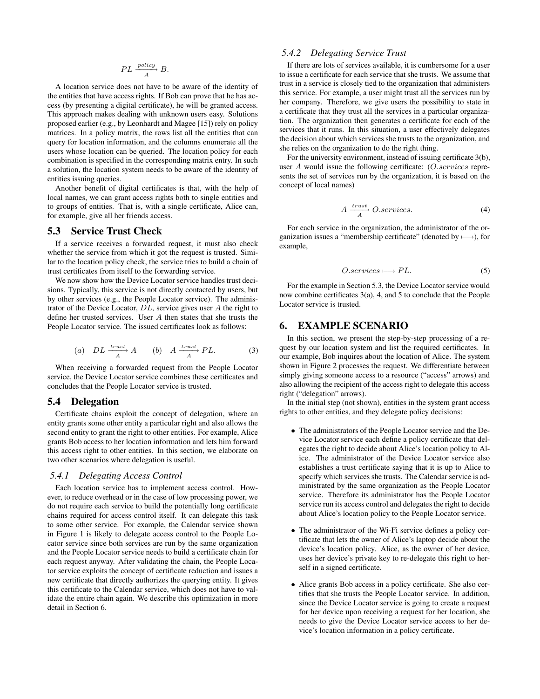$$
PL \xrightarrow{policy} B.
$$

A location service does not have to be aware of the identity of the entities that have access rights. If Bob can prove that he has access (by presenting a digital certificate), he will be granted access. This approach makes dealing with unknown users easy. Solutions proposed earlier (e.g., by Leonhardt and Magee [15]) rely on policy matrices. In a policy matrix, the rows list all the entities that can query for location information, and the columns enumerate all the users whose location can be queried. The location policy for each combination is specified in the corresponding matrix entry. In such a solution, the location system needs to be aware of the identity of entities issuing queries.

Another benefit of digital certificates is that, with the help of local names, we can grant access rights both to single entities and to groups of entities. That is, with a single certificate, Alice can, for example, give all her friends access.

#### **5.3 Service Trust Check**

If a service receives a forwarded request, it must also check whether the service from which it got the request is trusted. Similar to the location policy check, the service tries to build a chain of trust certificates from itself to the forwarding service.

We now show how the Device Locator service handles trust decisions. Typically, this service is not directly contacted by users, but by other services (e.g., the People Locator service). The administrator of the Device Locator, DL, service gives user A the right to define her trusted services. User A then states that she trusts the People Locator service. The issued certificates look as follows:

(a) 
$$
DL \xrightarrow{trust}_{A} A
$$
 (b)  $A \xrightarrow{trust}_{A} PL.$  (3)

When receiving a forwarded request from the People Locator service, the Device Locator service combines these certificates and concludes that the People Locator service is trusted.

#### **5.4 Delegation**

Certificate chains exploit the concept of delegation, where an entity grants some other entity a particular right and also allows the second entity to grant the right to other entities. For example, Alice grants Bob access to her location information and lets him forward this access right to other entities. In this section, we elaborate on two other scenarios where delegation is useful.

#### *5.4.1 Delegating Access Control*

Each location service has to implement access control. However, to reduce overhead or in the case of low processing power, we do not require each service to build the potentially long certificate chains required for access control itself. It can delegate this task to some other service. For example, the Calendar service shown in Figure 1 is likely to delegate access control to the People Locator service since both services are run by the same organization and the People Locator service needs to build a certificate chain for each request anyway. After validating the chain, the People Locator service exploits the concept of certificate reduction and issues a new certificate that directly authorizes the querying entity. It gives this certificate to the Calendar service, which does not have to validate the entire chain again. We describe this optimization in more detail in Section 6.

## *5.4.2 Delegating Service Trust*

If there are lots of services available, it is cumbersome for a user to issue a certificate for each service that she trusts. We assume that trust in a service is closely tied to the organization that administers this service. For example, a user might trust all the services run by her company. Therefore, we give users the possibility to state in a certificate that they trust all the services in a particular organization. The organization then generates a certificate for each of the services that it runs. In this situation, a user effectively delegates the decision about which services she trusts to the organization, and she relies on the organization to do the right thing.

For the university environment, instead of issuing certificate 3(b), user A would issue the following certificate: (O.services represents the set of services run by the organization, it is based on the concept of local names)

$$
A \xrightarrow[A]{trust} O.services. \tag{4}
$$

For each service in the organization, the administrator of the organization issues a "membership certificate" (denoted by 7−→), for example,

$$
O.services \longmapsto PL. \tag{5}
$$

For the example in Section 5.3, the Device Locator service would now combine certificates 3(a), 4, and 5 to conclude that the People Locator service is trusted.

# **6. EXAMPLE SCENARIO**

In this section, we present the step-by-step processing of a request by our location system and list the required certificates. In our example, Bob inquires about the location of Alice. The system shown in Figure 2 processes the request. We differentiate between simply giving someone access to a resource ("access" arrows) and also allowing the recipient of the access right to delegate this access right ("delegation" arrows).

In the initial step (not shown), entities in the system grant access rights to other entities, and they delegate policy decisions:

- The administrators of the People Locator service and the Device Locator service each define a policy certificate that delegates the right to decide about Alice's location policy to Alice. The administrator of the Device Locator service also establishes a trust certificate saying that it is up to Alice to specify which services she trusts. The Calendar service is administrated by the same organization as the People Locator service. Therefore its administrator has the People Locator service run its access control and delegates the right to decide about Alice's location policy to the People Locator service.
- The administrator of the Wi-Fi service defines a policy certificate that lets the owner of Alice's laptop decide about the device's location policy. Alice, as the owner of her device, uses her device's private key to re-delegate this right to herself in a signed certificate.
- Alice grants Bob access in a policy certificate. She also certifies that she trusts the People Locator service. In addition, since the Device Locator service is going to create a request for her device upon receiving a request for her location, she needs to give the Device Locator service access to her device's location information in a policy certificate.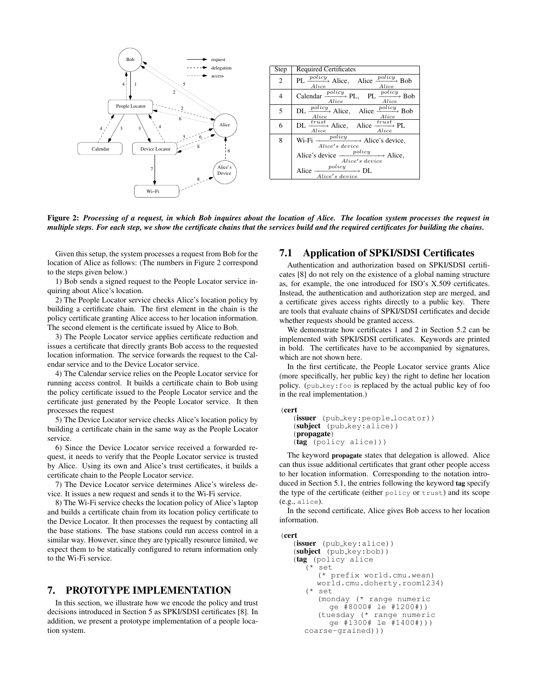

Figure 2: Processing of a request, in which Bob inquires about the location of Alice. The location system processes the request in multiple steps. For each step, we show the certificate chains that the services build and the required certificates for building the chains.

Given this setup, the system processes a request from Bob for the location of Alice as follows: (The numbers in Figure 2 correspond to the steps given below.)

1) Bob sends a signed request to the People Locator service inquiring about Alice's location.

2) The People Locator service checks Alice's location policy by building a certificate chain. The first element in the chain is the policy certificate granting Alice access to her location information. The second element is the certificate issued by Alice to Bob.

3) The People Locator service applies certificate reduction and issues a certificate that directly grants Bob access to the requested location information. The service forwards the request to the Calendar service and to the Device Locator service.

4) The Calendar service relies on the People Locator service for running access control. It builds a certificate chain to Bob using the policy certificate issued to the People Locator service and the certificate just generated by the People Locator service. It then processes the request

5) The Device Locator service checks Alice's location policy by building a certificate chain in the same way as the People Locator service.

6) Since the Device Locator service received a forwarded request, it needs to verify that the People Locator service is trusted by Alice. Using its own and Alice's trust certificates, it builds a certificate chain to the People Locator service.

7) The Device Locator service determines Alice's wireless device. It issues a new request and sends it to the Wi-Fi service.

8) The Wi-Fi service checks the location policy of Alice's laptop and builds a certificate chain from its location policy certificate to the Device Locator. It then processes the request by contacting all the base stations. The base stations could run access control in a similar way. However, since they are typically resource limited, we expect them to be statically configured to return information only to the Wi-Fi service.

#### **7. PROTOTYPE IMPLEMENTATION**

In this section, we illustrate how we encode the policy and trust decisions introduced in Section 5 as SPKI/SDSI certificates [8]. In addition, we present a prototype implementation of a people location system.

# **7.1 Application of SPKI/SDSI Certificates**

Authentication and authorization based on SPKI/SDSI certificates [8] do not rely on the existence of a global naming structure as, for example, the one introduced for ISO's X.509 certificates. Instead, the authentication and authorization step are merged, and a certificate gives access rights directly to a public key. There are tools that evaluate chains of SPKI/SDSI certificates and decide whether requests should be granted access.

We demonstrate how certificates 1 and 2 in Section 5.2 can be implemented with SPKI/SDSI certificates. Keywords are printed in bold. The certificates have to be accompanied by signatures, which are not shown here.

In the first certificate, the People Locator service grants Alice (more specifically, her public key) the right to define her location policy. (pub key:foo is replaced by the actual public key of foo in the real implementation.)

(**cert**

```
(issuer (pub key:people locator))
(subject (pub key:alice))
(propagate)
(tag (policy alice)))
```
The keyword **propagate** states that delegation is allowed. Alice can thus issue additional certificates that grant other people access to her location information. Corresponding to the notation introduced in Section 5.1, the entries following the keyword **tag** specify the type of the certificate (either policy or trust) and its scope (e.g., alice).

In the second certificate, Alice gives Bob access to her location information.

(**cert**

```
(issuer (pub_key:alice))
(subject (pub key:bob))
(tag (policy alice
     (* set
     (* prefix world.cmu.wean)
     world.cmu.doherty.room1234)
  (* set
     (monday (* range numeric
        ge #8000# le #1200#))
     (tuesday (* range numeric
        ge #1300# le #1400#)))
  coarse-grained)))
```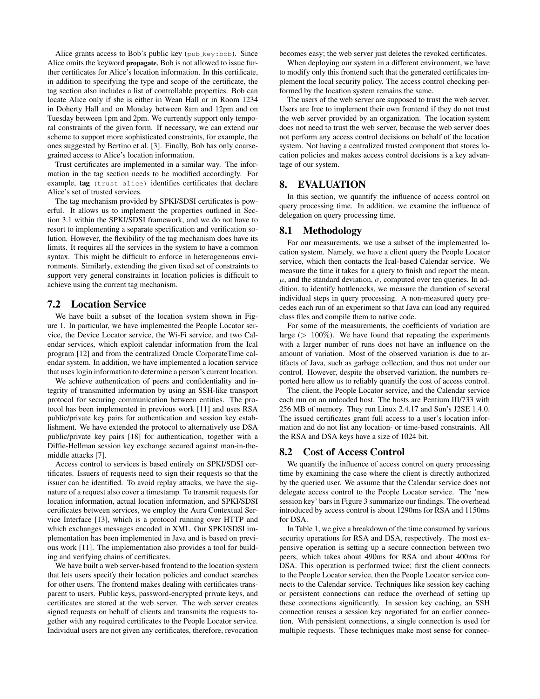Alice grants access to Bob's public key (pub key:bob). Since Alice omits the keyword **propagate**, Bob is not allowed to issue further certificates for Alice's location information. In this certificate, in addition to specifying the type and scope of the certificate, the tag section also includes a list of controllable properties. Bob can locate Alice only if she is either in Wean Hall or in Room 1234 in Doherty Hall and on Monday between 8am and 12pm and on Tuesday between 1pm and 2pm. We currently support only temporal constraints of the given form. If necessary, we can extend our scheme to support more sophisticated constraints, for example, the ones suggested by Bertino et al. [3]. Finally, Bob has only coarsegrained access to Alice's location information.

Trust certificates are implemented in a similar way. The information in the tag section needs to be modified accordingly. For example, **tag** (trust alice) identifies certificates that declare Alice's set of trusted services.

The tag mechanism provided by SPKI/SDSI certificates is powerful. It allows us to implement the properties outlined in Section 3.1 within the SPKI/SDSI framework, and we do not have to resort to implementing a separate specification and verification solution. However, the flexibility of the tag mechanism does have its limits. It requires all the services in the system to have a common syntax. This might be difficult to enforce in heterogeneous environments. Similarly, extending the given fixed set of constraints to support very general constraints in location policies is difficult to achieve using the current tag mechanism.

#### **7.2 Location Service**

We have built a subset of the location system shown in Figure 1. In particular, we have implemented the People Locator service, the Device Locator service, the Wi-Fi service, and two Calendar services, which exploit calendar information from the Ical program [12] and from the centralized Oracle CorporateTime calendar system. In addition, we have implemented a location service that uses login information to determine a person's current location.

We achieve authentication of peers and confidentiality and integrity of transmitted information by using an SSH-like transport protocol for securing communication between entities. The protocol has been implemented in previous work [11] and uses RSA public/private key pairs for authentication and session key establishment. We have extended the protocol to alternatively use DSA public/private key pairs [18] for authentication, together with a Diffie-Hellman session key exchange secured against man-in-themiddle attacks [7].

Access control to services is based entirely on SPKI/SDSI certificates. Issuers of requests need to sign their requests so that the issuer can be identified. To avoid replay attacks, we have the signature of a request also cover a timestamp. To transmit requests for location information, actual location information, and SPKI/SDSI certificates between services, we employ the Aura Contextual Service Interface [13], which is a protocol running over HTTP and which exchanges messages encoded in XML. Our SPKI/SDSI implementation has been implemented in Java and is based on previous work [11]. The implementation also provides a tool for building and verifying chains of certificates.

We have built a web server-based frontend to the location system that lets users specify their location policies and conduct searches for other users. The frontend makes dealing with certificates transparent to users. Public keys, password-encrypted private keys, and certificates are stored at the web server. The web server creates signed requests on behalf of clients and transmits the requests together with any required certificates to the People Locator service. Individual users are not given any certificates, therefore, revocation becomes easy; the web server just deletes the revoked certificates.

When deploying our system in a different environment, we have to modify only this frontend such that the generated certificates implement the local security policy. The access control checking performed by the location system remains the same.

The users of the web server are supposed to trust the web server. Users are free to implement their own frontend if they do not trust the web server provided by an organization. The location system does not need to trust the web server, because the web server does not perform any access control decisions on behalf of the location system. Not having a centralized trusted component that stores location policies and makes access control decisions is a key advantage of our system.

### **8. EVALUATION**

In this section, we quantify the influence of access control on query processing time. In addition, we examine the influence of delegation on query processing time.

#### **8.1 Methodology**

For our measurements, we use a subset of the implemented location system. Namely, we have a client query the People Locator service, which then contacts the Ical-based Calendar service. We measure the time it takes for a query to finish and report the mean,  $\mu$ , and the standard deviation,  $\sigma$ , computed over ten queries. In addition, to identify bottlenecks, we measure the duration of several individual steps in query processing. A non-measured query precedes each run of an experiment so that Java can load any required class files and compile them to native code.

For some of the measurements, the coefficients of variation are large  $(> 100\%)$ . We have found that repeating the experiments with a larger number of runs does not have an influence on the amount of variation. Most of the observed variation is due to artifacts of Java, such as garbage collection, and thus not under our control. However, despite the observed variation, the numbers reported here allow us to reliably quantify the cost of access control.

The client, the People Locator service, and the Calendar service each run on an unloaded host. The hosts are Pentium III/733 with 256 MB of memory. They run Linux 2.4.17 and Sun's J2SE 1.4.0. The issued certificates grant full access to a user's location information and do not list any location- or time-based constraints. All the RSA and DSA keys have a size of 1024 bit.

#### **8.2 Cost of Access Control**

We quantify the influence of access control on query processing time by examining the case where the client is directly authorized by the queried user. We assume that the Calendar service does not delegate access control to the People Locator service. The 'new session key' bars in Figure 3 summarize our findings. The overhead introduced by access control is about 1290ms for RSA and 1150ms for DSA.

In Table 1, we give a breakdown of the time consumed by various security operations for RSA and DSA, respectively. The most expensive operation is setting up a secure connection between two peers, which takes about 490ms for RSA and about 400ms for DSA. This operation is performed twice; first the client connects to the People Locator service, then the People Locator service connects to the Calendar service. Techniques like session key caching or persistent connections can reduce the overhead of setting up these connections significantly. In session key caching, an SSH connection reuses a session key negotiated for an earlier connection. With persistent connections, a single connection is used for multiple requests. These techniques make most sense for connec-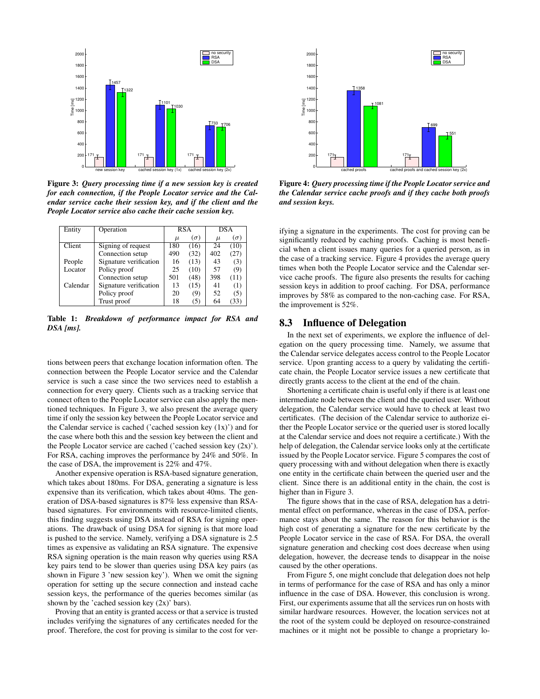

**Figure 3:** *Query processing time if a new session key is created for each connection, if the People Locator service and the Calendar service cache their session key, and if the client and the People Locator service also cache their cache session key.*

| Entity   | Operation              | <b>RSA</b> |            | <b>DSA</b> |            |
|----------|------------------------|------------|------------|------------|------------|
|          |                        | $\mu$      | $(\sigma)$ | $\mu$      | $(\sigma)$ |
| Client   | Signing of request     | 180        | (16)       | 24         | (10)       |
|          | Connection setup       | 490        | (32)       | 402        | (27)       |
| People   | Signature verification | 16         | (13)       | 43         | (3)        |
| Locator  | Policy proof           | 25         | (10)       | 57         | (9)        |
|          | Connection setup       | 501        | (48)       | 398        | (11)       |
| Calendar | Signature verification | 13         | (15)       | 41         | (1)        |
|          | Policy proof           | 20         | (9)        | 52         | (5)        |
|          | Trust proof            | 18         | (5)        | 64         | (33)       |
|          |                        |            |            |            |            |

**Table 1:** *Breakdown of performance impact for RSA and DSA [ms].*

tions between peers that exchange location information often. The connection between the People Locator service and the Calendar service is such a case since the two services need to establish a connection for every query. Clients such as a tracking service that connect often to the People Locator service can also apply the mentioned techniques. In Figure 3, we also present the average query time if only the session key between the People Locator service and the Calendar service is cached ('cached session key (1x)') and for the case where both this and the session key between the client and the People Locator service are cached ('cached session key (2x)'). For RSA, caching improves the performance by 24% and 50%. In the case of DSA, the improvement is 22% and 47%.

Another expensive operation is RSA-based signature generation, which takes about 180ms. For DSA, generating a signature is less expensive than its verification, which takes about 40ms. The generation of DSA-based signatures is 87% less expensive than RSAbased signatures. For environments with resource-limited clients, this finding suggests using DSA instead of RSA for signing operations. The drawback of using DSA for signing is that more load is pushed to the service. Namely, verifying a DSA signature is 2.5 times as expensive as validating an RSA signature. The expensive RSA signing operation is the main reason why queries using RSA key pairs tend to be slower than queries using DSA key pairs (as shown in Figure 3 'new session key'). When we omit the signing operation for setting up the secure connection and instead cache session keys, the performance of the queries becomes similar (as shown by the 'cached session key  $(2x)$ ' bars).

Proving that an entity is granted access or that a service is trusted includes verifying the signatures of any certificates needed for the proof. Therefore, the cost for proving is similar to the cost for ver-



**Figure 4:** *Query processing time if the People Locator service and the Calendar service cache proofs and if they cache both proofs and session keys.*

ifying a signature in the experiments. The cost for proving can be significantly reduced by caching proofs. Caching is most beneficial when a client issues many queries for a queried person, as in the case of a tracking service. Figure 4 provides the average query times when both the People Locator service and the Calendar service cache proofs. The figure also presents the results for caching session keys in addition to proof caching. For DSA, performance improves by 58% as compared to the non-caching case. For RSA, the improvement is 52%.

#### **8.3 Influence of Delegation**

In the next set of experiments, we explore the influence of delegation on the query processing time. Namely, we assume that the Calendar service delegates access control to the People Locator service. Upon granting access to a query by validating the certificate chain, the People Locator service issues a new certificate that directly grants access to the client at the end of the chain.

Shortening a certificate chain is useful only if there is at least one intermediate node between the client and the queried user. Without delegation, the Calendar service would have to check at least two certificates. (The decision of the Calendar service to authorize either the People Locator service or the queried user is stored locally at the Calendar service and does not require a certificate.) With the help of delegation, the Calendar service looks only at the certificate issued by the People Locator service. Figure 5 compares the cost of query processing with and without delegation when there is exactly one entity in the certificate chain between the queried user and the client. Since there is an additional entity in the chain, the cost is higher than in Figure 3.

The figure shows that in the case of RSA, delegation has a detrimental effect on performance, whereas in the case of DSA, performance stays about the same. The reason for this behavior is the high cost of generating a signature for the new certificate by the People Locator service in the case of RSA. For DSA, the overall signature generation and checking cost does decrease when using delegation, however, the decrease tends to disappear in the noise caused by the other operations.

From Figure 5, one might conclude that delegation does not help in terms of performance for the case of RSA and has only a minor influence in the case of DSA. However, this conclusion is wrong. First, our experiments assume that all the services run on hosts with similar hardware resources. However, the location services not at the root of the system could be deployed on resource-constrained machines or it might not be possible to change a proprietary lo-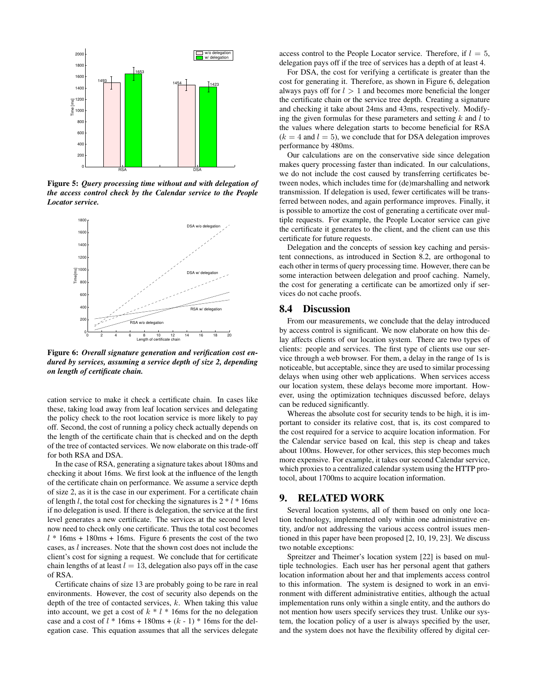

**Figure 5:** *Query processing time without and with delegation of the access control check by the Calendar service to the People Locator service.*



**Figure 6:** *Overall signature generation and verification cost endured by services, assuming a service depth of size 2, depending on length of certificate chain.*

cation service to make it check a certificate chain. In cases like these, taking load away from leaf location services and delegating the policy check to the root location service is more likely to pay off. Second, the cost of running a policy check actually depends on the length of the certificate chain that is checked and on the depth of the tree of contacted services. We now elaborate on this trade-off for both RSA and DSA.

In the case of RSA, generating a signature takes about 180ms and checking it about 16ms. We first look at the influence of the length of the certificate chain on performance. We assume a service depth of size 2, as it is the case in our experiment. For a certificate chain of length l, the total cost for checking the signatures is  $2 * l * 16$ ms if no delegation is used. If there is delegation, the service at the first level generates a new certificate. The services at the second level now need to check only one certificate. Thus the total cost becomes  $l * 16$ ms + 180ms + 16ms. Figure 6 presents the cost of the two cases, as l increases. Note that the shown cost does not include the client's cost for signing a request. We conclude that for certificate chain lengths of at least  $l = 13$ , delegation also pays off in the case of RSA.

Certificate chains of size 13 are probably going to be rare in real environments. However, the cost of security also depends on the depth of the tree of contacted services,  $k$ . When taking this value into account, we get a cost of  $k * l * 16$ ms for the no delegation case and a cost of  $l * 16$ ms + 180ms +  $(k - 1) * 16$ ms for the delegation case. This equation assumes that all the services delegate access control to the People Locator service. Therefore, if  $l = 5$ , delegation pays off if the tree of services has a depth of at least 4.

For DSA, the cost for verifying a certificate is greater than the cost for generating it. Therefore, as shown in Figure 6, delegation always pays off for  $l > 1$  and becomes more beneficial the longer the certificate chain or the service tree depth. Creating a signature and checking it take about 24ms and 43ms, respectively. Modifying the given formulas for these parameters and setting  $k$  and  $l$  to the values where delegation starts to become beneficial for RSA  $(k = 4$  and  $l = 5)$ , we conclude that for DSA delegation improves performance by 480ms.

Our calculations are on the conservative side since delegation makes query processing faster than indicated. In our calculations, we do not include the cost caused by transferring certificates between nodes, which includes time for (de)marshalling and network transmission. If delegation is used, fewer certificates will be transferred between nodes, and again performance improves. Finally, it is possible to amortize the cost of generating a certificate over multiple requests. For example, the People Locator service can give the certificate it generates to the client, and the client can use this certificate for future requests.

Delegation and the concepts of session key caching and persistent connections, as introduced in Section 8.2, are orthogonal to each other in terms of query processing time. However, there can be some interaction between delegation and proof caching. Namely, the cost for generating a certificate can be amortized only if services do not cache proofs.

#### **8.4 Discussion**

From our measurements, we conclude that the delay introduced by access control is significant. We now elaborate on how this delay affects clients of our location system. There are two types of clients: people and services. The first type of clients use our service through a web browser. For them, a delay in the range of 1s is noticeable, but acceptable, since they are used to similar processing delays when using other web applications. When services access our location system, these delays become more important. However, using the optimization techniques discussed before, delays can be reduced significantly.

Whereas the absolute cost for security tends to be high, it is important to consider its relative cost, that is, its cost compared to the cost required for a service to acquire location information. For the Calendar service based on Ical, this step is cheap and takes about 100ms. However, for other services, this step becomes much more expensive. For example, it takes our second Calendar service, which proxies to a centralized calendar system using the HTTP protocol, about 1700ms to acquire location information.

#### **9. RELATED WORK**

Several location systems, all of them based on only one location technology, implemented only within one administrative entity, and/or not addressing the various access control issues mentioned in this paper have been proposed [2, 10, 19, 23]. We discuss two notable exceptions:

Spreitzer and Theimer's location system [22] is based on multiple technologies. Each user has her personal agent that gathers location information about her and that implements access control to this information. The system is designed to work in an environment with different administrative entities, although the actual implementation runs only within a single entity, and the authors do not mention how users specify services they trust. Unlike our system, the location policy of a user is always specified by the user, and the system does not have the flexibility offered by digital cer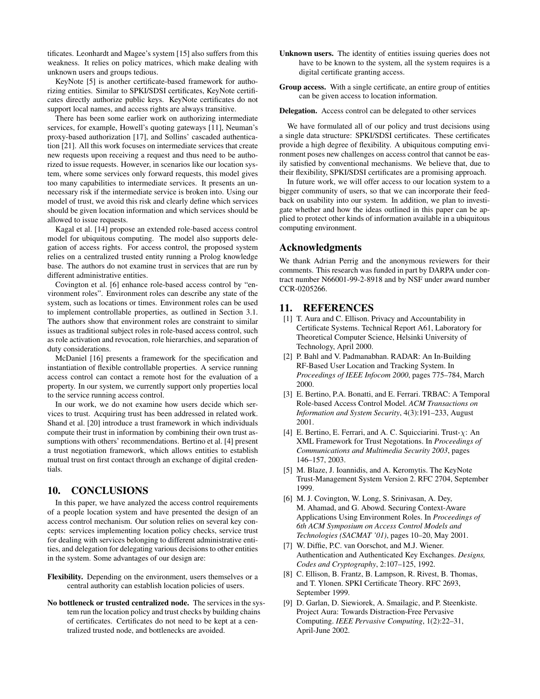tificates. Leonhardt and Magee's system [15] also suffers from this weakness. It relies on policy matrices, which make dealing with unknown users and groups tedious.

KeyNote [5] is another certificate-based framework for authorizing entities. Similar to SPKI/SDSI certificates, KeyNote certificates directly authorize public keys. KeyNote certificates do not support local names, and access rights are always transitive.

There has been some earlier work on authorizing intermediate services, for example, Howell's quoting gateways [11], Neuman's proxy-based authorization [17], and Sollins' cascaded authentication [21]. All this work focuses on intermediate services that create new requests upon receiving a request and thus need to be authorized to issue requests. However, in scenarios like our location system, where some services only forward requests, this model gives too many capabilities to intermediate services. It presents an unnecessary risk if the intermediate service is broken into. Using our model of trust, we avoid this risk and clearly define which services should be given location information and which services should be allowed to issue requests.

Kagal et al. [14] propose an extended role-based access control model for ubiquitous computing. The model also supports delegation of access rights. For access control, the proposed system relies on a centralized trusted entity running a Prolog knowledge base. The authors do not examine trust in services that are run by different administrative entities.

Covington et al. [6] enhance role-based access control by "environment roles". Environment roles can describe any state of the system, such as locations or times. Environment roles can be used to implement controllable properties, as outlined in Section 3.1. The authors show that environment roles are constraint to similar issues as traditional subject roles in role-based access control, such as role activation and revocation, role hierarchies, and separation of duty considerations.

McDaniel [16] presents a framework for the specification and instantiation of flexible controllable properties. A service running access control can contact a remote host for the evaluation of a property. In our system, we currently support only properties local to the service running access control.

In our work, we do not examine how users decide which services to trust. Acquiring trust has been addressed in related work. Shand et al. [20] introduce a trust framework in which individuals compute their trust in information by combining their own trust assumptions with others' recommendations. Bertino et al. [4] present a trust negotiation framework, which allows entities to establish mutual trust on first contact through an exchange of digital credentials.

## **10. CONCLUSIONS**

In this paper, we have analyzed the access control requirements of a people location system and have presented the design of an access control mechanism. Our solution relies on several key concepts: services implementing location policy checks, service trust for dealing with services belonging to different administrative entities, and delegation for delegating various decisions to other entities in the system. Some advantages of our design are:

- **Flexibility.** Depending on the environment, users themselves or a central authority can establish location policies of users.
- **No bottleneck or trusted centralized node.** The servicesin the system run the location policy and trust checks by building chains of certificates. Certificates do not need to be kept at a centralized trusted node, and bottlenecks are avoided.
- **Unknown users.** The identity of entities issuing queries does not have to be known to the system, all the system requires is a digital certificate granting access.
- **Group access.** With a single certificate, an entire group of entities can be given access to location information.

#### **Delegation.** Access control can be delegated to other services

We have formulated all of our policy and trust decisions using a single data structure: SPKI/SDSI certificates. These certificates provide a high degree of flexibility. A ubiquitous computing environment poses new challenges on access control that cannot be easily satisfied by conventional mechanisms. We believe that, due to their flexibility, SPKI/SDSI certificates are a promising approach.

In future work, we will offer access to our location system to a bigger community of users, so that we can incorporate their feedback on usability into our system. In addition, we plan to investigate whether and how the ideas outlined in this paper can be applied to protect other kinds of information available in a ubiquitous computing environment.

# **Acknowledgments**

We thank Adrian Perrig and the anonymous reviewers for their comments. This research was funded in part by DARPA under contract number N66001-99-2-8918 and by NSF under award number CCR-0205266.

#### **11. REFERENCES**

- [1] T. Aura and C. Ellison. Privacy and Accountability in Certificate Systems. Technical Report A61, Laboratory for Theoretical Computer Science, Helsinki University of Technology, April 2000.
- [2] P. Bahl and V. Padmanabhan. RADAR: An In-Building RF-Based User Location and Tracking System. In *Proceedings of IEEE Infocom 2000*, pages 775–784, March 2000.
- [3] E. Bertino, P.A. Bonatti, and E. Ferrari. TRBAC: A Temporal Role-based Access Control Model. *ACM Transactions on Information and System Security*, 4(3):191–233, August 2001.
- [4] E. Bertino, E. Ferrari, and A. C. Squicciarini. Trust- $\chi$ : An XML Framework for Trust Negotations. In *Proceedings of Communications and Multimedia Security 2003*, pages 146–157, 2003.
- [5] M. Blaze, J. Ioannidis, and A. Keromytis. The KeyNote Trust-Management System Version 2. RFC 2704, September 1999.
- [6] M. J. Covington, W. Long, S. Srinivasan, A. Dey, M. Ahamad, and G. Abowd. Securing Context-Aware Applications Using Environment Roles. In *Proceedings of 6th ACM Symposium on Access Control Models and Technologies (SACMAT '01)*, pages 10–20, May 2001.
- [7] W. Diffie, P.C. van Oorschot, and M.J. Wiener. Authentication and Authenticated Key Exchanges. *Designs, Codes and Cryptography*, 2:107–125, 1992.
- [8] C. Ellison, B. Frantz, B. Lampson, R. Rivest, B. Thomas, and T. Ylonen. SPKI Certificate Theory. RFC 2693, September 1999.
- [9] D. Garlan, D. Siewiorek, A. Smailagic, and P. Steenkiste. Project Aura: Towards Distraction-Free Pervasive Computing. *IEEE Pervasive Computing*, 1(2):22–31, April-June 2002.